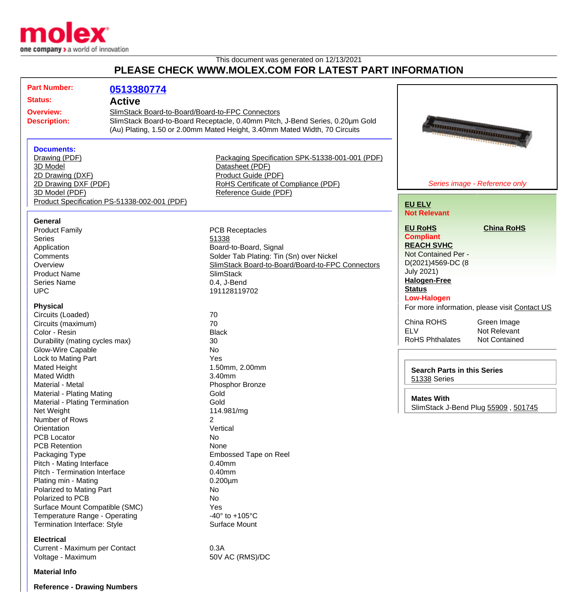

## This document was generated on 12/13/2021 **PLEASE CHECK WWW.MOLEX.COM FOR LATEST PART INFORMATION**

| <b>Part Number:</b><br><b>Status:</b><br><b>Overview:</b><br><b>Description:</b><br><b>Documents:</b><br>Drawing (PDF)<br>3D Model<br>2D Drawing (DXF)                                                                                                                                                                                                                                                                                                                                                                                                                                                                                                                                                                                                                                           | 0513380774<br><b>Active</b><br>SlimStack Board-to-Board/Board-to-FPC Connectors | SlimStack Board-to-Board Receptacle, 0.40mm Pitch, J-Bend Series, 0.20µm Gold<br>(Au) Plating, 1.50 or 2.00mm Mated Height, 3.40mm Mated Width, 70 Circuits<br>Packaging Specification SPK-51338-001-001 (PDF)<br>Datasheet (PDF)<br>Product Guide (PDF)                                                                                                                                                                                                                                                                     | <b>TERRITORIAL DE L'ARCHITECTURI DE L'ARCHITECTURI DE L'ARCHITECTURI DE L'ARCHITECTURI DE L'ARCHITECTURI DE L'ARCHITECTURI DE L'ARCHITECTURI DE L'ARCHITECTURI DE L'ARCHITECTURI DE L'ARCHITECTURI DE L'ARCHITECTURI DE L'ARCHIT</b><br><b>CONTRACTOR DE CONTRACTOR</b>                                                                                                                                                                                                                                            |
|--------------------------------------------------------------------------------------------------------------------------------------------------------------------------------------------------------------------------------------------------------------------------------------------------------------------------------------------------------------------------------------------------------------------------------------------------------------------------------------------------------------------------------------------------------------------------------------------------------------------------------------------------------------------------------------------------------------------------------------------------------------------------------------------------|---------------------------------------------------------------------------------|------------------------------------------------------------------------------------------------------------------------------------------------------------------------------------------------------------------------------------------------------------------------------------------------------------------------------------------------------------------------------------------------------------------------------------------------------------------------------------------------------------------------------|--------------------------------------------------------------------------------------------------------------------------------------------------------------------------------------------------------------------------------------------------------------------------------------------------------------------------------------------------------------------------------------------------------------------------------------------------------------------------------------------------------------------|
| 2D Drawing DXF (PDF)<br>3D Model (PDF)                                                                                                                                                                                                                                                                                                                                                                                                                                                                                                                                                                                                                                                                                                                                                           | Product Specification PS-51338-002-001 (PDF)                                    | RoHS Certificate of Compliance (PDF)<br>Reference Guide (PDF)                                                                                                                                                                                                                                                                                                                                                                                                                                                                | Series image - Reference only<br><b>EU ELV</b>                                                                                                                                                                                                                                                                                                                                                                                                                                                                     |
| General<br><b>Product Family</b><br>Series<br>Application<br>Comments<br>Overview<br><b>Product Name</b><br><b>Series Name</b><br><b>UPC</b><br><b>Physical</b><br>Circuits (Loaded)<br>Circuits (maximum)<br>Color - Resin<br>Durability (mating cycles max)<br><b>Glow-Wire Capable</b><br>Lock to Mating Part<br>Mated Height<br><b>Mated Width</b><br>Material - Metal<br>Material - Plating Mating<br>Material - Plating Termination<br>Net Weight<br>Number of Rows<br>Orientation<br><b>PCB Locator</b><br><b>PCB Retention</b><br>Packaging Type<br>Pitch - Mating Interface<br>Pitch - Termination Interface<br>Plating min - Mating<br>Polarized to Mating Part<br>Polarized to PCB<br>Surface Mount Compatible (SMC)<br>Temperature Range - Operating<br>Termination Interface: Style |                                                                                 | <b>PCB Receptacles</b><br>51338<br>Board-to-Board, Signal<br>Solder Tab Plating: Tin (Sn) over Nickel<br>SlimStack Board-to-Board/Board-to-FPC Connectors<br><b>SlimStack</b><br>0.4, J-Bend<br>191128119702<br>70<br>70<br><b>Black</b><br>30<br><b>No</b><br>Yes<br>1.50mm, 2.00mm<br>3.40mm<br>Phosphor Bronze<br>Gold<br>Gold<br>114.981/mg<br>2<br>Vertical<br>No<br>None<br>Embossed Tape on Reel<br>$0.40$ mm<br>$0.40$ mm<br>$0.200 \mu m$<br>No.<br>No<br>Yes<br>-40 $\degree$ to +105 $\degree$ C<br>Surface Mount | <b>Not Relevant</b><br><b>China RoHS</b><br><b>EU RoHS</b><br><b>Compliant</b><br><b>REACH SVHC</b><br>Not Contained Per -<br>D(2021)4569-DC (8<br><b>July 2021)</b><br><b>Halogen-Free</b><br><b>Status</b><br><b>Low-Halogen</b><br>For more information, please visit Contact US<br>China ROHS<br>Green Image<br><b>ELV</b><br>Not Relevant<br><b>RoHS Phthalates</b><br><b>Not Contained</b><br><b>Search Parts in this Series</b><br>51338 Series<br><b>Mates With</b><br>SlimStack J-Bend Plug 55909, 501745 |
| <b>Electrical</b><br>Current - Maximum per Contact<br>Voltage - Maximum                                                                                                                                                                                                                                                                                                                                                                                                                                                                                                                                                                                                                                                                                                                          |                                                                                 | 0.3A<br>50V AC (RMS)/DC                                                                                                                                                                                                                                                                                                                                                                                                                                                                                                      |                                                                                                                                                                                                                                                                                                                                                                                                                                                                                                                    |

**Reference - Drawing Numbers**

**Material Info**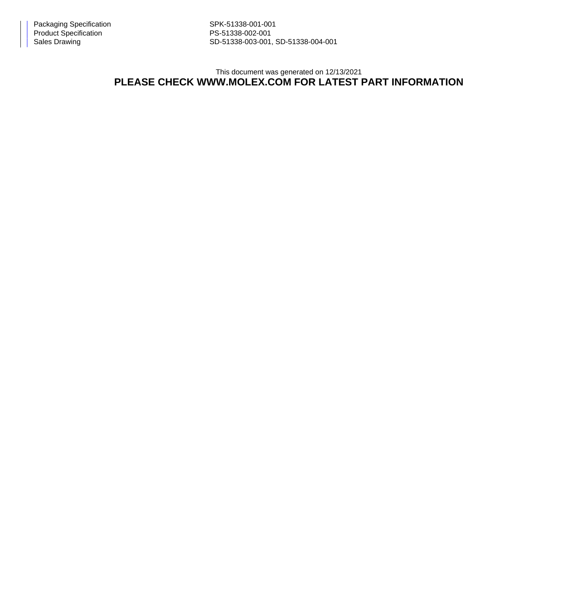Sales Drawing Sales Drawing SD-51338-003-001, SD-51338-004-001

This document was generated on 12/13/2021

## **PLEASE CHECK WWW.MOLEX.COM FOR LATEST PART INFORMATION**